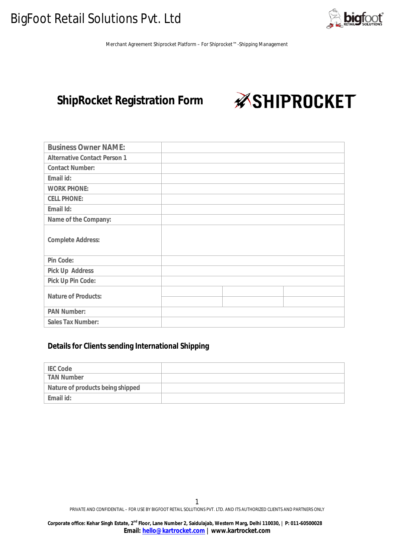

## **ShipRocket Registration Form**

*ASHIPROCKET* 

| <b>Business Owner NAME:</b>         |  |  |
|-------------------------------------|--|--|
| <b>Alternative Contact Person 1</b> |  |  |
| <b>Contact Number:</b>              |  |  |
| Email id:                           |  |  |
| <b>WORK PHONE:</b>                  |  |  |
| <b>CELL PHONE:</b>                  |  |  |
| Email Id:                           |  |  |
| Name of the Company:                |  |  |
| <b>Complete Address:</b>            |  |  |
| Pin Code:                           |  |  |
| <b>Pick Up Address</b>              |  |  |
| Pick Up Pin Code:                   |  |  |
| <b>Nature of Products:</b>          |  |  |
|                                     |  |  |
| <b>PAN Number:</b>                  |  |  |
| <b>Sales Tax Number:</b>            |  |  |

## **Details for Clients sending International Shipping**

| <b>IEC Code</b>                  |  |
|----------------------------------|--|
| <b>TAN Number</b>                |  |
| Nature of products being shipped |  |
| Email id:                        |  |

1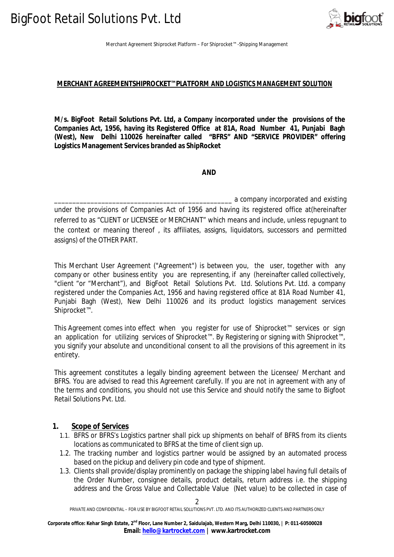

#### **MERCHANT AGREEMENTSHIPROCKET™PLATFORM AND LOGISTICS MANAGEMENT SOLUTION**

**M/s. BigFoot Retail Solutions Pvt. Ltd, a Company incorporated under the provisions of the Companies Act, 1956, having its Registered Office at 81A, Road Number 41, Punjabi Bagh (West), New Delhi 110026 hereinafter called "BFRS" AND "SERVICE PROVIDER" offering Logistics Management Services branded as ShipRocket**

 **AND**

a company incorporated and existing under the provisions of Companies Act of 1956 and having its registered office at(hereinafter referred to as "CLIENT or LICENSEE or MERCHANT" which means and include, unless repugnant to the context or meaning thereof , its affiliates, assigns, liquidators, successors and permitted assigns) of the OTHER PART.

This Merchant User Agreement ("Agreement") is between you, the user, together with any company or other business entity you are representing, if any (hereinafter called collectively, "client "or "Merchant"), and BigFoot Retail Solutions Pvt. Ltd. Solutions Pvt. Ltd. a company registered under the Companies Act, 1956 and having registered office at 81A Road Number 41, Punjabi Bagh (West), New Delhi 110026 and its product logistics management services Shiprocket™.

This Agreement comes into effect when you register for use of Shiprocket™ services or sign an application for utilizing services of Shiprocket™. By Registering or signing with Shiprocket™, you signify your absolute and unconditional consent to all the provisions of this agreement in its entirety.

This agreement constitutes a legally binding agreement between the Licensee/ Merchant and BFRS. You are advised to read this Agreement carefully. If you are not in agreement with any of the terms and conditions, you should not use this Service and should notify the same to Bigfoot Retail Solutions Pvt. Ltd.

#### **1. Scope of Services**

- 1.1. BFRS or BFRS's Logistics partner shall pick up shipments on behalf of BFRS from its clients locations as communicated to BFRS at the time of client sign up.
- 1.2. The tracking number and logistics partner would be assigned by an automated process based on the pickup and delivery pin code and type of shipment.
- 1.3. Clients shall provide/display prominently on package the shipping label having full details of the Order Number, consignee details, product details, return address i.e. the shipping address and the Gross Value and Collectable Value (Net value) to be collected in case of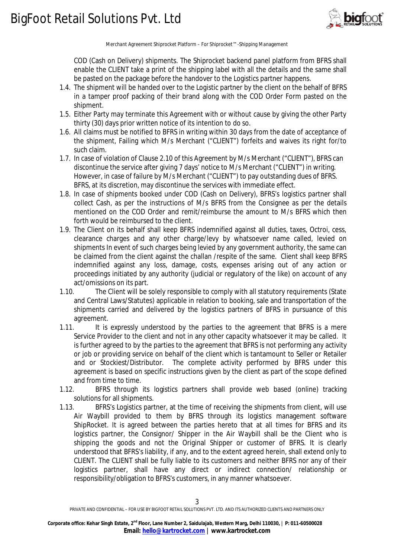

COD (Cash on Delivery) shipments. The Shiprocket backend panel platform from BFRS shall enable the CLIENT take a print of the shipping label with all the details and the same shall be pasted on the package before the handover to the Logistics partner happens.

- 1.4. The shipment will be handed over to the Logistic partner by the client on the behalf of BFRS in a tamper proof packing of their brand along with the COD Order Form pasted on the shipment.
- 1.5. Either Party may terminate this Agreement with or without cause by giving the other Party thirty (30) days prior written notice of its intention to do so.
- 1.6. All claims must be notified to BFRS in writing within 30 days from the date of acceptance of the shipment, Failing which M/s Merchant ("CLIENT") forfeits and waives its right for/to such claim.
- 1.7. In case of violation of Clause 2.10 of this Agreement by M/s Merchant ("CLIENT"), BFRS can discontinue the service after giving 7 days' notice to M/s Merchant ("CLIENT") in writing. However, in case of failure by M/s Merchant ("CLIENT") to pay outstanding dues of BFRS. BFRS, at its discretion, may discontinue the services with immediate effect.
- 1.8. In case of shipments booked under COD (Cash on Delivery), BFRS's logistics partner shall collect Cash, as per the instructions of M/s BFRS from the Consignee as per the details mentioned on the COD Order and remit/reimburse the amount to M/s BFRS which then forth would be reimbursed to the client.
- 1.9. The Client on its behalf shall keep BFRS indemnified against all duties, taxes, Octroi, cess, clearance charges and any other charge/levy by whatsoever name called, levied on shipments In event of such charges being levied by any government authority, the same can be claimed from the client against the challan /respite of the same. Client shall keep BFRS indemnified against any loss, damage, costs, expenses arising out of any action or proceedings initiated by any authority (judicial or regulatory of the like) on account of any act/omissions on its part.
- 1.10. The Client will be solely responsible to comply with all statutory requirements (State and Central Laws/Statutes) applicable in relation to booking, sale and transportation of the shipments carried and delivered by the logistics partners of BFRS in pursuance of this agreement.
- 1.11. It is expressly understood by the parties to the agreement that BFRS is a mere Service Provider to the client and not in any other capacity whatsoever it may be called. It is further agreed to by the parties to the agreement that BFRS is not performing any activity or job or providing service on behalf of the client which is tantamount to Seller or Retailer and or Stockiest/Distributor. The complete activity performed by BFRS under this agreement is based on specific instructions given by the client as part of the scope defined and from time to time.
- 1.12. BFRS through its logistics partners shall provide web based (online) tracking solutions for all shipments.
- 1.13. BFRS's Logistics partner, at the time of receiving the shipments from client, will use Air Waybill provided to them by BFRS through its logistics management software ShipRocket. It is agreed between the parties hereto that at all times for BFRS and its logistics partner, the Consignor/ Shipper in the Air Waybill shall be the Client who is shipping the goods and not the Original Shipper or customer of BFRS. It is clearly understood that BFRS's liability, if any, and to the extent agreed herein, shall extend only to CLIENT. The CLIENT shall be fully liable to its customers and neither BFRS nor any of their logistics partner, shall have any direct or indirect connection/ relationship or responsibility/obligation to BFRS's customers, in any manner whatsoever.

PRIVATE AND CONFIDENTIAL – FOR USE BY BIGFOOT RETAIL SOLUTIONS PVT. LTD. AND ITS AUTHORIZED CLIENTS AND PARTNERS ONLY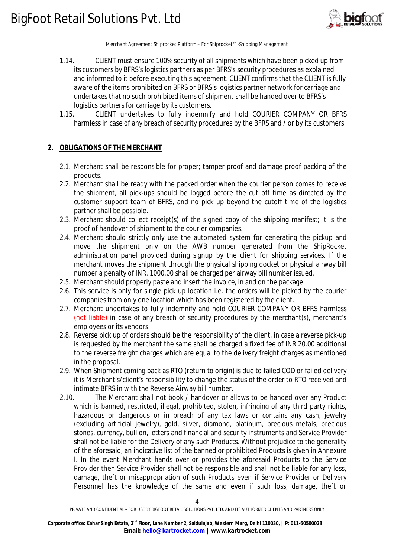

- 1.14. CLIENT must ensure 100% security of all shipments which have been picked up from its customers by BFRS's logistics partners as per BFRS's security procedures as explained and informed to it before executing this agreement. CLIENT confirms that the CLIENT is fully aware of the items prohibited on BFRS or BFRS's logistics partner network for carriage and undertakes that no such prohibited items of shipment shall be handed over to BFRS's logistics partners for carriage by its customers.
- 1.15. CLIENT undertakes to fully indemnify and hold COURIER COMPANY OR BFRS harmless in case of any breach of security procedures by the BFRS and / or by its customers.

### **2. OBLIGATIONS OF THE MERCHANT**

- 2.1. Merchant shall be responsible for proper; tamper proof and damage proof packing of the products.
- 2.2. Merchant shall be ready with the packed order when the courier person comes to receive the shipment, all pick-ups should be logged before the cut off time as directed by the customer support team of BFRS, and no pick up beyond the cutoff time of the logistics partner shall be possible.
- 2.3. Merchant should collect receipt(s) of the signed copy of the shipping manifest; it is the proof of handover of shipment to the courier companies.
- 2.4. Merchant should strictly only use the automated system for generating the pickup and move the shipment only on the AWB number generated from the ShipRocket administration panel provided during signup by the client for shipping services. If the merchant moves the shipment through the physical shipping docket or physical airway bill number a penalty of INR. 1000.00 shall be charged per airway bill number issued.
- 2.5. Merchant should properly paste and insert the invoice, in and on the package.
- 2.6. This service is only for single pick up location i.e. the orders will be picked by the courier companies from only one location which has been registered by the client.
- 2.7. Merchant undertakes to fully indemnify and hold COURIER COMPANY OR BFRS harmless (not liable) in case of any breach of security procedures by the merchant(s), merchant's employees or its vendors.
- 2.8. Reverse pick up of orders should be the responsibility of the client, in case a reverse pick-up is requested by the merchant the same shall be charged a fixed fee of INR 20.00 additional to the reverse freight charges which are equal to the delivery freight charges as mentioned in the proposal.
- 2.9. When Shipment coming back as RTO (return to origin) is due to failed COD or failed delivery it is Merchant's/client's responsibility to change the status of the order to RTO received and intimate BFRS in with the Reverse Airway bill number.
- 2.10. The Merchant shall not book / handover or allows to be handed over any Product which is banned, restricted, illegal, prohibited, stolen, infringing of any third party rights, hazardous or dangerous or in breach of any tax laws or contains any cash, jewelry (excluding artificial jewelry), gold, silver, diamond, platinum, precious metals, precious stones, currency, bullion, letters and financial and security instruments and Service Provider shall not be liable for the Delivery of any such Products. Without prejudice to the generality of the aforesaid, an indicative list of the banned or prohibited Products is given in Annexure I. In the event Merchant hands over or provides the aforesaid Products to the Service Provider then Service Provider shall not be responsible and shall not be liable for any loss, damage, theft or misappropriation of such Products even if Service Provider or Delivery Personnel has the knowledge of the same and even if such loss, damage, theft or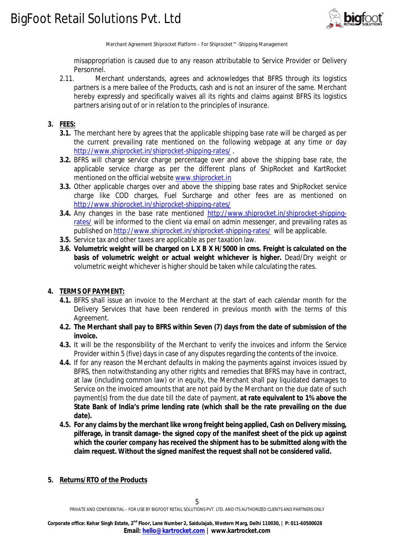

misappropriation is caused due to any reason attributable to Service Provider or Delivery Personnel.

2.11. Merchant understands, agrees and acknowledges that BFRS through its logistics partners is a mere bailee of the Products, cash and is not an insurer of the same. Merchant hereby expressly and specifically waives all its rights and claims against BFRS its logistics partners arising out of or in relation to the principles of insurance.

## **3. FEES:**

- **3.1.** The merchant here by agrees that the applicable shipping base rate will be charged as per the current prevailing rate mentioned on the following webpage at any time or day http://www.shiprocket.in/shiprocket-shipping-rates/ .
- **3.2.** BFRS will charge service charge percentage over and above the shipping base rate, the applicable service charge as per the different plans of ShipRocket and KartRocket mentioned on the official website www.shiprocket.in
- **3.3.** Other applicable charges over and above the shipping base rates and ShipRocket service charge like COD charges, Fuel Surcharge and other fees are as mentioned on http://www.shiprocket.in/shiprocket-shipping-rates/
- **3.4.** Any changes in the base rate mentioned http://www.shiprocket.in/shiprocket-shippingrates/ will be informed to the client via email on admin messenger, and prevailing rates as published on http://www.shiprocket.in/shiprocket-shipping-rates/ will be applicable.
- **3.5.** Service tax and other taxes are applicable as per taxation law.
- **3.6. Volumetric weight will be charged on L X B X H/5000 in cms. Freight is calculated on the basis of volumetric weight or actual weight whichever is higher.** Dead/Dry weight or volumetric weight whichever is higher should be taken while calculating the rates.

#### **4. TERMS OF PAYMENT:**

- **4.1.** BFRS shall issue an invoice to the Merchant at the start of each calendar month for the Delivery Services that have been rendered in previous month with the terms of this Agreement.
- **4.2. The Merchant shall pay to BFRS within Seven (7) days from the date of submission of the invoice.**
- **4.3.** It will be the responsibility of the Merchant to verify the invoices and inform the Service Provider within 5 (five) days in case of any disputes regarding the contents of the invoice.
- **4.4.** If for any reason the Merchant defaults in making the payments against invoices issued by BFRS, then notwithstanding any other rights and remedies that BFRS may have in contract, at law (including common law) or in equity, the Merchant shall pay liquidated damages to Service on the invoiced amounts that are not paid by the Merchant on the due date of such payment(s) from the due date till the date of payment, **at rate equivalent to 1% above the State Bank of India's prime lending rate (which shall be the rate prevailing on the due date).**
- **4.5. For any claims by the merchant like wrong freight being applied, Cash on Delivery missing, pilferage, in transit damage- the signed copy of the manifest sheet of the pick up against which the courier company has received the shipment has to be submitted along with the claim request. Without the signed manifest the request shall not be considered valid.**

#### **5. Returns/RTO of the Products**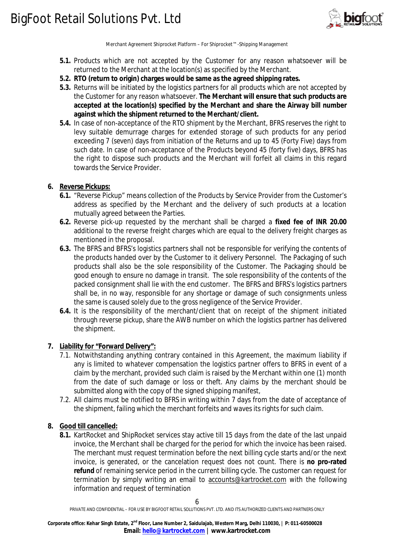

- **5.1.** Products which are not accepted by the Customer for any reason whatsoever will be returned to the Merchant at the location(s) as specified by the Merchant.
- **5.2. RTO (return to origin) charges would be same as the agreed shipping rates.**
- **5.3.** Returns will be initiated by the logistics partners for all products which are not accepted by the Customer for any reason whatsoever. **The Merchant will ensure that such products are accepted at the location(s) specified by the Merchant and share the Airway bill number against which the shipment returned to the Merchant/client.**
- **5.4.** In case of non-acceptance of the RTO shipment by the Merchant, BFRS reserves the right to levy suitable demurrage charges for extended storage of such products for any period exceeding 7 (seven) days from initiation of the Returns and up to 45 (Forty Five) days from such date. In case of non-acceptance of the Products beyond 45 (forty five) days, BFRS has the right to dispose such products and the Merchant will forfeit all claims in this regard towards the Service Provider.

### **6. Reverse Pickups:**

- **6.1.** "Reverse Pickup" means collection of the Products by Service Provider from the Customer's address as specified by the Merchant and the delivery of such products at a location mutually agreed between the Parties.
- **6.2.** Reverse pick-up requested by the merchant shall be charged a **fixed fee of INR 20.00** additional to the reverse freight charges which are equal to the delivery freight charges as mentioned in the proposal.
- **6.3.** The BFRS and BFRS's logistics partners shall not be responsible for verifying the contents of the products handed over by the Customer to it delivery Personnel. The Packaging of such products shall also be the sole responsibility of the Customer. The Packaging should be good enough to ensure no damage in transit. The sole responsibility of the contents of the packed consignment shall lie with the end customer. The BFRS and BFRS's logistics partners shall be, in no way, responsible for any shortage or damage of such consignments unless the same is caused solely due to the gross negligence of the Service Provider.
- **6.4.** It is the responsibility of the merchant/client that on receipt of the shipment initiated through reverse pickup, share the AWB number on which the logistics partner has delivered the shipment.

#### **7. Liability for "Forward Delivery":**

- 7.1. Notwithstanding anything contrary contained in this Agreement, the maximum liability if any is limited to whatever compensation the logistics partner offers to BFRS in event of a claim by the merchant, provided such claim is raised by the Merchant within one (1) month from the date of such damage or loss or theft. Any claims by the merchant should be submitted along with the copy of the signed shipping manifest,
- 7.2. All claims must be notified to BFRS in writing within 7 days from the date of acceptance of the shipment, failing which the merchant forfeits and waves its rights for such claim.

#### **8. Good till cancelled:**

**8.1.** KartRocket and ShipRocket services stay active till 15 days from the date of the last unpaid invoice, the Merchant shall be charged for the period for which the invoice has been raised. The merchant must request termination before the next billing cycle starts and/or the next invoice, is generated, or the cancelation request does not count. There is **no pro-rated refund** of remaining service period in the current billing cycle. The customer can request for termination by simply writing an email to accounts@kartrocket.com with the following information and request of termination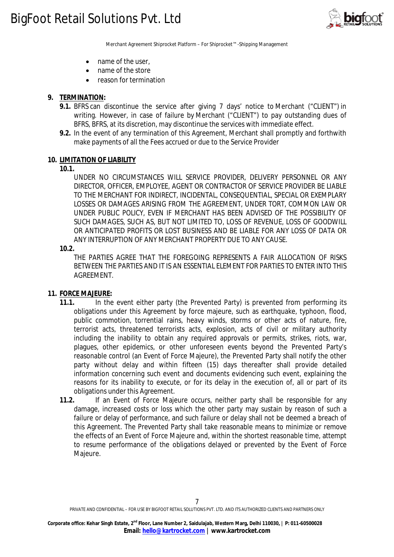

- name of the user,
- name of the store
- reason for termination

### **9. TERMINATION:**

- **9.1.** BFRS can discontinue the service after giving 7 days' notice to Merchant ("CLIENT") in writing. However, in case of failure by Merchant ("CLIENT") to pay outstanding dues of BFRS, BFRS, at its discretion, may discontinue the services with immediate effect.
- **9.2.** In the event of any termination of this Agreement, Merchant shall promptly and forthwith make payments of all the Fees accrued or due to the Service Provider

#### **10. LIMITATION OF LIABILITY**

**10.1.**

UNDER NO CIRCUMSTANCES WILL SERVICE PROVIDER, DELIVERY PERSONNEL OR ANY DIRECTOR, OFFICER, EMPLOYEE, AGENT OR CONTRACTOR OF SERVICE PROVIDER BE LIABLE TO THE MERCHANT FOR INDIRECT, INCIDENTAL, CONSEQUENTIAL, SPECIAL OR EXEMPLARY LOSSES OR DAMAGES ARISING FROM THE AGREEMENT, UNDER TORT, COMMON LAW OR UNDER PUBLIC POLICY, EVEN IF MERCHANT HAS BEEN ADVISED OF THE POSSIBILITY OF SUCH DAMAGES, SUCH AS, BUT NOT LIMITED TO, LOSS OF REVENUE, LOSS OF GOODWILL OR ANTICIPATED PROFITS OR LOST BUSINESS AND BE LIABLE FOR ANY LOSS OF DATA OR ANY INTERRUPTION OF ANY MERCHANT PROPERTY DUE TO ANY CAUSE.

#### **10.2.**

THE PARTIES AGREE THAT THE FOREGOING REPRESENTS A FAIR ALLOCATION OF RISKS BETWEEN THE PARTIES AND IT IS AN ESSENTIAL ELEMENT FOR PARTIES TO ENTER INTO THIS AGREEMENT.

#### **11. FORCE MAJEURE:**

- **11.1.** In the event either party (the Prevented Party) is prevented from performing its obligations under this Agreement by force majeure, such as earthquake, typhoon, flood, public commotion, torrential rains, heavy winds, storms or other acts of nature, fire, terrorist acts, threatened terrorists acts, explosion, acts of civil or military authority including the inability to obtain any required approvals or permits, strikes, riots, war, plagues, other epidemics, or other unforeseen events beyond the Prevented Party's reasonable control (an Event of Force Majeure), the Prevented Party shall notify the other party without delay and within fifteen (15) days thereafter shall provide detailed information concerning such event and documents evidencing such event, explaining the reasons for its inability to execute, or for its delay in the execution of, all or part of its obligations under this Agreement.
- **11.2.** If an Event of Force Majeure occurs, neither party shall be responsible for any damage, increased costs or loss which the other party may sustain by reason of such a failure or delay of performance, and such failure or delay shall not be deemed a breach of this Agreement. The Prevented Party shall take reasonable means to minimize or remove the effects of an Event of Force Majeure and, within the shortest reasonable time, attempt to resume performance of the obligations delayed or prevented by the Event of Force Majeure.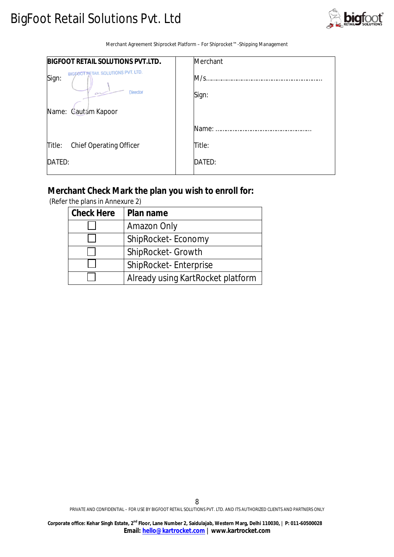# BigFoot Retail Solutions Pvt. Ltd



Merchant Agreement Shiprocket Platform – For Shiprocket™ -Shipping Management

| <b>BIGFOOT RETAIL SOLUTIONS PVT.LTD.</b>                       | Merchant |
|----------------------------------------------------------------|----------|
| BIGFOOT RETAIL SOLUTIONS PVT. LTD.<br>Sign:<br>Director<br>سمت | M/s.     |
|                                                                | Sign:    |
| Name: Cautam Kapoor                                            |          |
|                                                                | Name:    |
| <b>Chief Operating Officer</b><br>Title:                       | Title:   |
| DATED:                                                         | DATED:   |

## **Merchant Check Mark the plan you wish to enroll for:**

| <b>Check Here</b> | Plan name                         |
|-------------------|-----------------------------------|
|                   | Amazon Only                       |
|                   | ShipRocket-Economy                |
|                   | ShipRocket- Growth                |
|                   | ShipRocket-Enterprise             |
|                   | Already using KartRocket platform |

(Refer the plans in Annexure 2)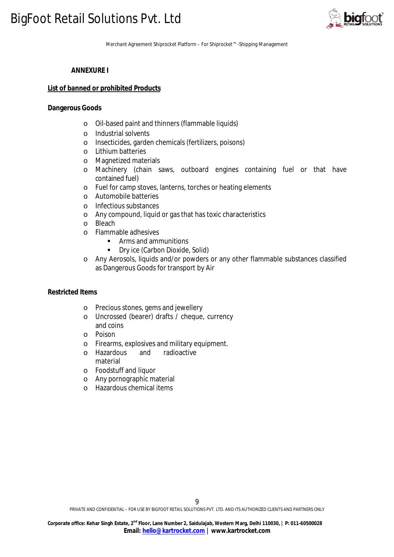

## **ANNEXURE I**

#### **List of banned or prohibited Products**

#### **Dangerous Goods**

- o Oil-based paint and thinners (flammable liquids)
- o Industrial solvents
- o Insecticides, garden chemicals (fertilizers, poisons)
- o Lithium batteries
- o Magnetized materials
- o Machinery (chain saws, outboard engines containing fuel or that have contained fuel)
- o Fuel for camp stoves, lanterns, torches or heating elements
- o Automobile batteries
- o Infectious substances
- o Any compound, liquid or gas that has toxic characteristics
- o Bleach
- o Flammable adhesives
	- **Arms and ammunitions**<br>**Part Carbon Dioxide** 
		- Dry ice (Carbon Dioxide, Solid)
- o Any Aerosols, liquids and/or powders or any other flammable substances classified as Dangerous Goods for transport by Air

#### **Restricted Items**

- o Precious stones, gems and jewellery
- o Uncrossed (bearer) drafts / cheque, currency and coins
- o Poison
- o Firearms, explosives and military equipment.
- o Hazardous and radioactive material
- o Foodstuff and liquor
- o Any pornographic material
- o Hazardous chemical items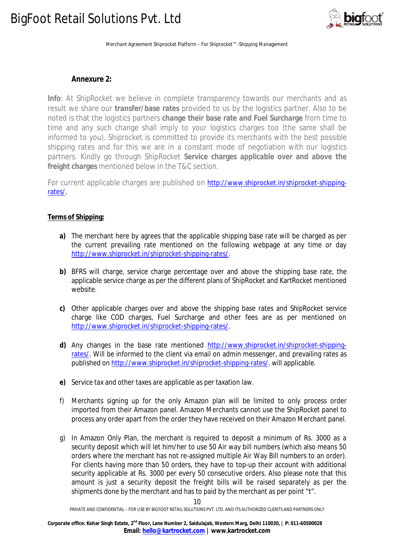# BigFoot Retail Solutions Pvt. Ltd



Merchant Agreement Shiprocket Platform – For Shiprocket™ -Shipping Management

## **Annexure 2:**

**Info**: At ShipRocket we believe in complete transparency towards our merchants and as result we share our **transfer/base rates** provided to us by the logistics partner. Also to be noted is that the logistics partners **change their base rate and Fuel Surcharge** from time to time and any such change shall imply to your logistics charges too (the same shall be informed to you). Shiprocket is committed to provide its merchants with the best possible shipping rates and for this we are in a constant mode of negotiation with our logistics partners. Kindly go through ShipRocket **Service charges applicable over and above the freight charges** mentioned below in the T&C section.

For current applicable charges are published on http://www.shiprocket.in/shiprocket-shippingrates/.

## **Terms of Shipping:**

- **a)** The merchant here by agrees that the applicable shipping base rate will be charged as per the current prevailing rate mentioned on the following webpage at any time or day http://www.shiprocket.in/shiprocket-shipping-rates/.
- **b)** BFRS will charge, service charge percentage over and above the shipping base rate, the applicable service charge as per the different plans of ShipRocket and KartRocket mentioned website.
- **c)** Other applicable charges over and above the shipping base rates and ShipRocket service charge like COD charges, Fuel Surcharge and other fees are as per mentioned on http://www.shiprocket.in/shiprocket-shipping-rates/.
- **d)** Any changes in the base rate mentioned http://www.shiprocket.in/shiprocket-shippingrates/. Will be informed to the client via email on admin messenger, and prevailing rates as published on http://www.shiprocket.in/shiprocket-shipping-rates/. will applicable.
- **e)** Service tax and other taxes are applicable as per taxation law.
- f) Merchants signing up for the only Amazon plan will be limited to only process order imported from their Amazon panel. Amazon Merchants cannot use the ShipRocket panel to process any order apart from the order they have received on their Amazon Merchant panel.
- g) In Amazon Only Plan, the merchant is required to deposit a minimum of Rs. 3000 as a security deposit which will let him/her to use 50 Air way bill numbers (which also means 50 orders where the merchant has not re-assigned multiple Air Way Bill numbers to an order). For clients having more than 50 orders, they have to top-up their account with additional security applicable at Rs. 3000 per every 50 consecutive orders. Also please note that this amount is just a security deposit the freight bills will be raised separately as per the shipments done by the merchant and has to paid by the merchant as per point "t".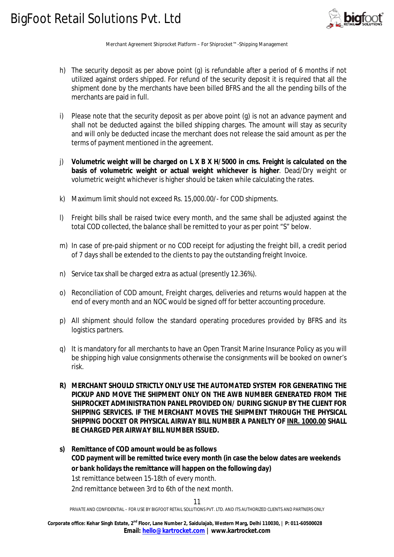

- h) The security deposit as per above point (g) is refundable after a period of 6 months if not utilized against orders shipped. For refund of the security deposit it is required that all the shipment done by the merchants have been billed BFRS and the all the pending bills of the merchants are paid in full.
- i) Please note that the security deposit as per above point (g) is not an advance payment and shall not be deducted against the billed shipping charges. The amount will stay as security and will only be deducted incase the merchant does not release the said amount as per the terms of payment mentioned in the agreement.
- j) **Volumetric weight will be charged on L X B X H/5000 in cms. Freight is calculated on the basis of volumetric weight or actual weight whichever is higher**. Dead/Dry weight or volumetric weight whichever is higher should be taken while calculating the rates.
- k) Maximum limit should not exceed Rs. 15,000.00/- for COD shipments.
- l) Freight bills shall be raised twice every month, and the same shall be adjusted against the total COD collected, the balance shall be remitted to your as per point "S" below.
- m) In case of pre-paid shipment or no COD receipt for adjusting the freight bill, a credit period of 7 days shall be extended to the clients to pay the outstanding freight Invoice.
- n) Service tax shall be charged extra as actual (presently 12.36%).
- o) Reconciliation of COD amount, Freight charges, deliveries and returns would happen at the end of every month and an NOC would be signed off for better accounting procedure.
- p) All shipment should follow the standard operating procedures provided by BFRS and its logistics partners.
- q) It is mandatory for all merchants to have an Open Transit Marine Insurance Policy as you will be shipping high value consignments otherwise the consignments will be booked on owner's risk.
- **R) MERCHANT SHOULD STRICTLY ONLY USE THE AUTOMATED SYSTEM FOR GENERATING THE PICKUP AND MOVE THE SHIPMENT ONLY ON THE AWB NUMBER GENERATED FROM THE SHIPROCKET ADMINISTRATION PANEL PROVIDED ON/ DURING SIGNUP BY THE CLIENT FOR SHIPPING SERVICES. IF THE MERCHANT MOVES THE SHIPMENT THROUGH THE PHYSICAL SHIPPING DOCKET OR PHYSICAL AIRWAY BILL NUMBER A PANELTY OF INR. 1000.00 SHALL BE CHARGED PER AIRWAY BILL NUMBER ISSUED.**
- **s) Remittance of COD amount would be as follows COD payment will be remitted twice every month (in case the below dates are weekends or bank holidays the remittance will happen on the following day)** 1st remittance between 15-18th of every month. 2nd remittance between 3rd to 6th of the next month.

11